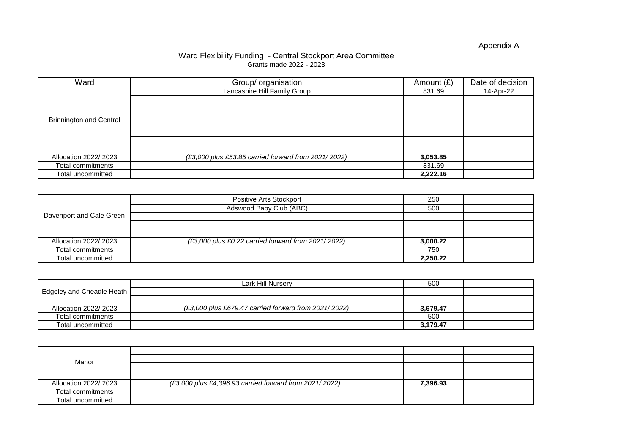## Appendix A

## Ward Flexibility Funding - Central Stockport Area Committee Grants made 2022 - 2023

| Ward                           | Group/ organisation                                 | Amount $(E)$ | Date of decision |
|--------------------------------|-----------------------------------------------------|--------------|------------------|
| <b>Brinnington and Central</b> | Lancashire Hill Family Group                        | 831.69       | 14-Apr-22        |
|                                |                                                     |              |                  |
|                                |                                                     |              |                  |
|                                |                                                     |              |                  |
|                                |                                                     |              |                  |
|                                |                                                     |              |                  |
|                                |                                                     |              |                  |
|                                |                                                     |              |                  |
| Allocation 2022/2023           | (£3,000 plus £53.85 carried forward from 2021/2022) | 3,053.85     |                  |
| Total commitments              |                                                     | 831.69       |                  |
| Total uncommitted              |                                                     | 2,222.16     |                  |

| Davenport and Cale Green | <b>Positive Arts Stockport</b>                       | 250      |  |
|--------------------------|------------------------------------------------------|----------|--|
|                          | Adswood Baby Club (ABC)                              | 500      |  |
|                          |                                                      |          |  |
|                          |                                                      |          |  |
|                          |                                                      |          |  |
| Allocation 2022/ 2023    | $(E3,000$ plus £0.22 carried forward from 2021/2022) | 3,000.22 |  |
| <b>Total commitments</b> |                                                      | 750      |  |
| Total uncommitted        |                                                      | 2,250.22 |  |

| Edgeley and Cheadle Heath | <b>Lark Hill Nursery</b>                             | 500      |  |
|---------------------------|------------------------------------------------------|----------|--|
|                           |                                                      |          |  |
|                           |                                                      |          |  |
| Allocation 2022/ 2023     | (£3,000 plus £679.47 carried forward from 2021/2022) | 3,679.47 |  |
| Total commitments         |                                                      | 500      |  |
| Total uncommitted         |                                                      | 3,179.47 |  |

| Manor                 |                                                        |          |  |
|-----------------------|--------------------------------------------------------|----------|--|
|                       |                                                        |          |  |
|                       |                                                        |          |  |
|                       |                                                        |          |  |
| Allocation 2022/ 2023 | (£3,000 plus £4,396.93 carried forward from 2021/2022) | 7,396.93 |  |
| Total commitments     |                                                        |          |  |
| Total uncommitted     |                                                        |          |  |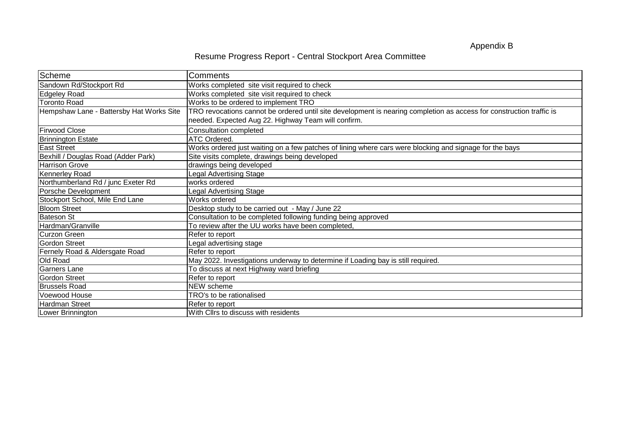Appendix B

## Resume Progress Report - Central Stockport Area Committee

| Scheme                                   | <b>Comments</b>                                                                                                      |
|------------------------------------------|----------------------------------------------------------------------------------------------------------------------|
| Sandown Rd/Stockport Rd                  | Works completed site visit required to check                                                                         |
| <b>Edgeley Road</b>                      | Works completed site visit required to check                                                                         |
| <b>Toronto Road</b>                      | Works to be ordered to implement TRO                                                                                 |
| Hempshaw Lane - Battersby Hat Works Site | TRO revocations cannot be ordered until site development is nearing completion as access for construction traffic is |
|                                          | needed. Expected Aug 22. Highway Team will confirm.                                                                  |
| <b>Firwood Close</b>                     | <b>Consultation completed</b>                                                                                        |
| <b>Brinnington Estate</b>                | ATC Ordered.                                                                                                         |
| <b>East Street</b>                       | Works ordered just waiting on a few patches of lining where cars were blocking and signage for the bays              |
| Bexhill / Douglas Road (Adder Park)      | Site visits complete, drawings being developed                                                                       |
| <b>Harrison Grove</b>                    | drawings being developed                                                                                             |
| <b>Kennerley Road</b>                    | <b>Legal Advertising Stage</b>                                                                                       |
| Northumberland Rd / junc Exeter Rd       | works ordered                                                                                                        |
| <b>Porsche Development</b>               | Legal Advertising Stage                                                                                              |
| Stockport School, Mile End Lane          | Works ordered                                                                                                        |
| <b>Bloom Street</b>                      | Desktop study to be carried out - May / June 22                                                                      |
| <b>Bateson St</b>                        | Consultation to be completed following funding being approved                                                        |
| Hardman/Granville                        | To review after the UU works have been completed,                                                                    |
| <b>Curzon Green</b>                      | Refer to report                                                                                                      |
| <b>Gordon Street</b>                     | Legal advertising stage                                                                                              |
| Fernely Road & Aldersgate Road           | Refer to report                                                                                                      |
| Old Road                                 | May 2022. Investigations underway to determine if Loading bay is still required.                                     |
| <b>Garners Lane</b>                      | To discuss at next Highway ward briefing                                                                             |
| <b>Gordon Street</b>                     | Refer to report                                                                                                      |
| <b>Brussels Road</b>                     | NEW scheme                                                                                                           |
| <b>Voewood House</b>                     | TRO's to be rationalised                                                                                             |
| <b>Hardman Street</b>                    | Refer to report                                                                                                      |
| Lower Brinnington                        | With Cllrs to discuss with residents                                                                                 |